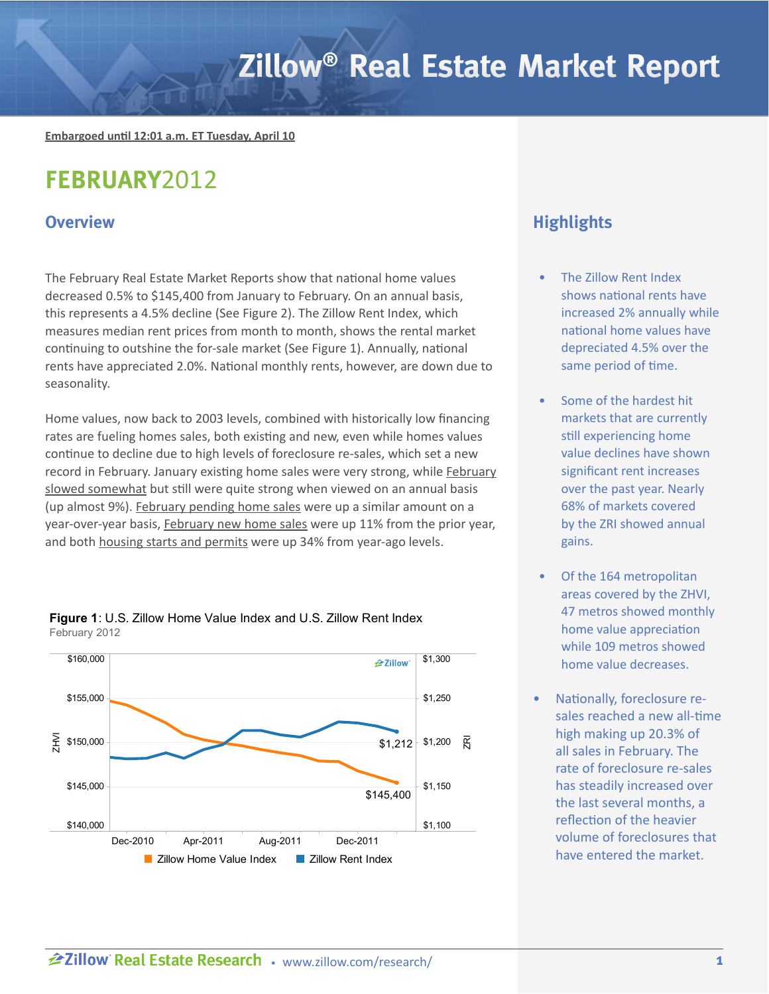# Zillow<sup>®</sup> Real Estate Market Report

**Embargoed until 12:01 a.m. ET Tuesday, April 10**

## **FEBRUARY**2012

The February Real Estate Market Reports show that national home values decreased 0.5% to \$145,400 from January to February. On an annual basis, this represents a 4.5% decline (See Figure 2). The Zillow Rent Index, which measures median rent prices from month to month, shows the rental market continuing to outshine the for-sale market (See Figure 1). Annually, national rents have appreciated 2.0%. National monthly rents, however, are down due to seasonality.

Home values, now back to 2003 levels, combined with historically low financing rates are fueling homes sales, both existing and new, even while homes values continue to decline due to high levels of foreclosure re-sales, which set a new record in February. January existing home sales were very strong, while [February](http://www.realtor.org/press_room/news_releases/2012/03/ehs_feb) [slowed somewhat](http://www.realtor.org/press_room/news_releases/2012/03/ehs_feb) but still were quite strong when viewed on an annual basis (up almost 9%). [February pending home sales](http://www.realtor.org/press_room/news_releases/2012/03/phs_feb) were up a similar amount on a year-over-year basis, [February new home sales](http://www.census.gov/construction/nrs/pdf/newressales.pdf) were up 11% from the prior year, and both [housing starts and permits](http://www.census.gov/construction/nrc/pdf/newresconst.pdf) were up 34% from year-ago levels.





## **Overview All the Contract of Contract Contract of Contract Contract Contract Contract Contract Contract Contract Contract Contract Contract Contract Contract Contract Contract Contract Contract Contract Contract Contrac**

- The Zillow Rent Index shows national rents have increased 2% annually while national home values have depreciated 4.5% over the same period of time.
- Some of the hardest hit markets that are currently still experiencing home value declines have shown significant rent increases over the past year. Nearly 68% of markets covered by the ZRI showed annual gains.
- Of the 164 metropolitan areas covered by the ZHVI, 47 metros showed monthly home value appreciation while 109 metros showed home value decreases.
- Nationally, foreclosure resales reached a new all-time high making up 20.3% of all sales in February. The rate of foreclosure re-sales has steadily increased over the last several months, a reflection of the heavier volume of foreclosures that have entered the market.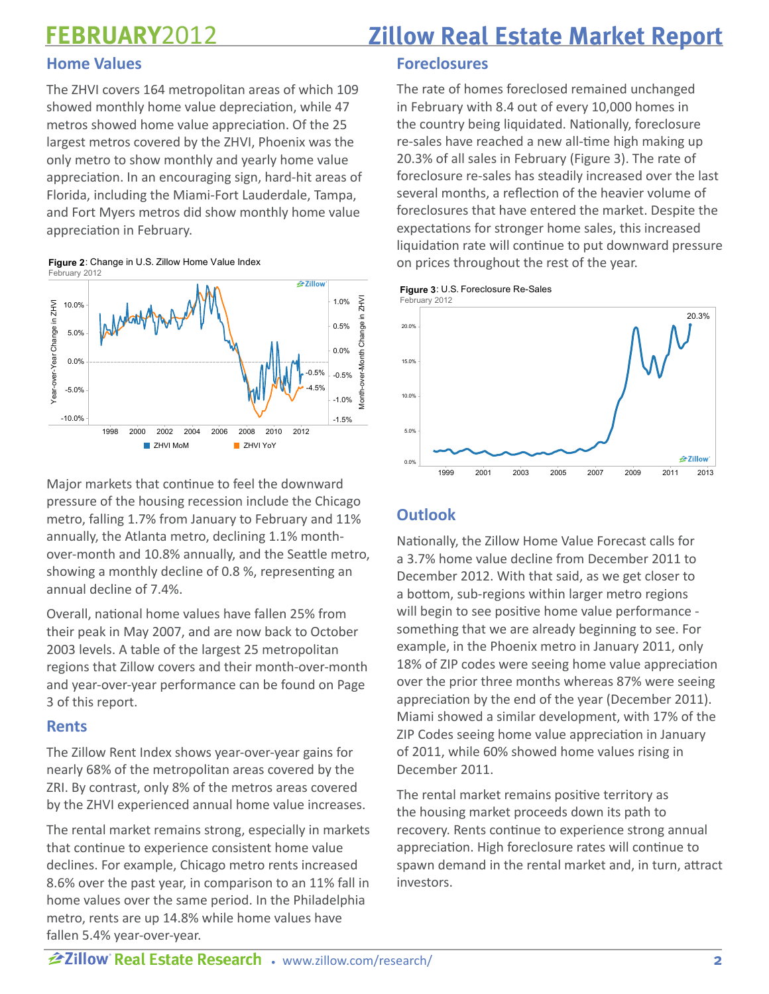## **FEBRUARY**2012

## **Home Values**

The ZHVI covers 164 metropolitan areas of which 109 showed monthly home value depreciation, while 47 metros showed home value appreciation. Of the 25 largest metros covered by the ZHVI, Phoenix was the only metro to show monthly and yearly home value appreciation. In an encouraging sign, hard-hit areas of Florida, including the Miami-Fort Lauderdale, Tampa, and Fort Myers metros did show monthly home value appreciation in February.

Figure 2: Change in U.S. Zillow Home Value Index February 2012



Major markets that continue to feel the downward pressure of the housing recession include the Chicago metro, falling 1.7% from January to February and 11% annually, the Atlanta metro, declining 1.1% monthover-month and 10.8% annually, and the Seattle metro, showing a monthly decline of 0.8 %, representing an annual decline of 7.4%.

Overall, national home values have fallen 25% from their peak in May 2007, and are now back to October 2003 levels. A table of the largest 25 metropolitan regions that Zillow covers and their month-over-month and year-over-year performance can be found on Page 3 of this report.

## **Rents**

The Zillow Rent Index shows year-over-year gains for nearly 68% of the metropolitan areas covered by the ZRI. By contrast, only 8% of the metros areas covered by the ZHVI experienced annual home value increases.

The rental market remains strong, especially in markets that continue to experience consistent home value declines. For example, Chicago metro rents increased 8.6% over the past year, in comparison to an 11% fall in home values over the same period. In the Philadelphia metro, rents are up 14.8% while home values have fallen 5.4% year-over-year.

## **Zillow Real Estate Market Report**

## **Foreclosures**

The rate of homes foreclosed remained unchanged in February with 8.4 out of every 10,000 homes in the country being liquidated. Nationally, foreclosure re-sales have reached a new all-time high making up 20.3% of all sales in February (Figure 3). The rate of foreclosure re-sales has steadily increased over the last several months, a reflection of the heavier volume of foreclosures that have entered the market. Despite the expectations for stronger home sales, this increased liquidation rate will continue to put downward pressure on prices throughout the rest of the year.

Figure 3: U.S. Foreclosure Re-Sales



## **Outlook**

Nationally, the Zillow Home Value Forecast calls for a 3.7% home value decline from December 2011 to December 2012. With that said, as we get closer to a bottom, sub-regions within larger metro regions will begin to see positive home value performance something that we are already beginning to see. For example, in the Phoenix metro in January 2011, only 18% of ZIP codes were seeing home value appreciation over the prior three months whereas 87% were seeing appreciation by the end of the year (December 2011). Miami showed a similar development, with 17% of the ZIP Codes seeing home value appreciation in January of 2011, while 60% showed home values rising in December 2011.

The rental market remains positive territory as the housing market proceeds down its path to recovery. Rents continue to experience strong annual appreciation. High foreclosure rates will continue to spawn demand in the rental market and, in turn, attract investors.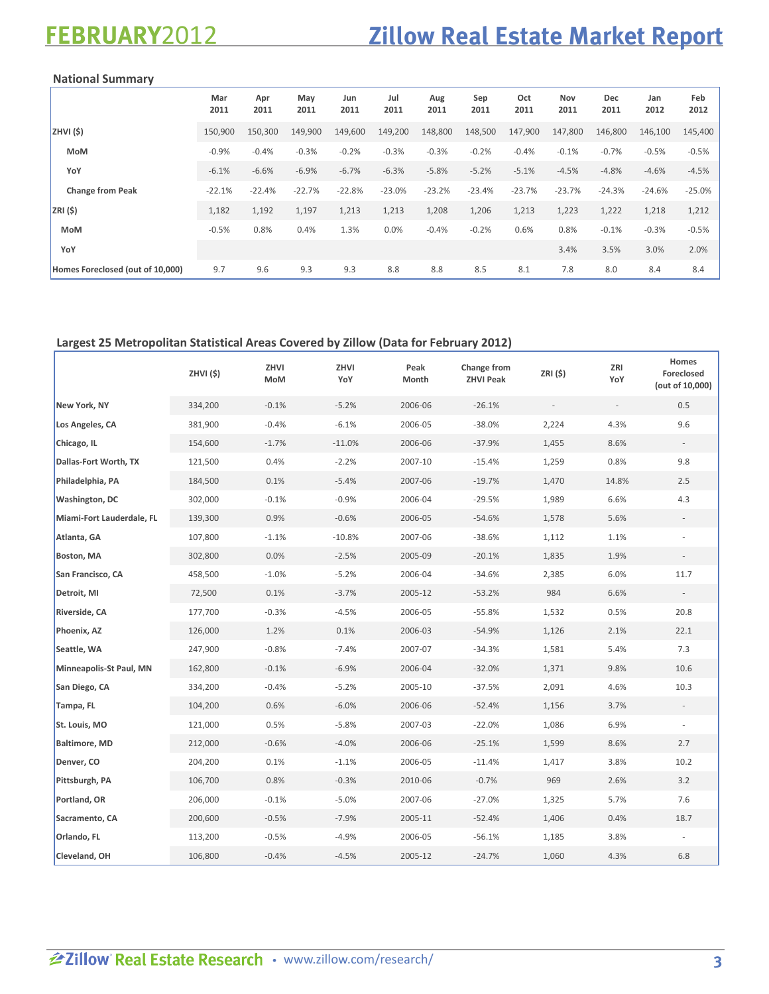## **Zillow Real Estate Market Report**

### National Summary

|                                  | Mar<br>2011 | Apr<br>2011 | May<br>2011 | Jun<br>2011 | Jul<br>2011 | Aug<br>2011 | Sep<br>2011 | Oct<br>2011 | Nov<br>2011 | Dec<br>2011 | Jan<br>2012 | Feb<br>2012 |
|----------------------------------|-------------|-------------|-------------|-------------|-------------|-------------|-------------|-------------|-------------|-------------|-------------|-------------|
| ZHVI(\$)                         | 150,900     | 150,300     | 149,900     | 149,600     | 149,200     | 148,800     | 148,500     | 147,900     | 147,800     | 146,800     | 146,100     | 145,400     |
| <b>MoM</b>                       | $-0.9%$     | $-0.4%$     | $-0.3%$     | $-0.2%$     | $-0.3%$     | $-0.3%$     | $-0.2%$     | $-0.4%$     | $-0.1%$     | $-0.7%$     | $-0.5%$     | $-0.5%$     |
| YoY                              | $-6.1%$     | $-6.6%$     | $-6.9%$     | $-6.7%$     | $-6.3%$     | $-5.8%$     | $-5.2%$     | $-5.1%$     | $-4.5%$     | $-4.8%$     | $-4.6%$     | $-4.5%$     |
| <b>Change from Peak</b>          | $-22.1%$    | $-22.4%$    | $-22.7%$    | $-22.8%$    | $-23.0%$    | $-23.2%$    | $-23.4%$    | $-23.7%$    | $-23.7%$    | $-24.3%$    | $-24.6%$    | $-25.0%$    |
| ZRI(5)                           | 1,182       | 1,192       | 1,197       | 1,213       | 1,213       | 1,208       | 1,206       | 1,213       | 1,223       | 1,222       | 1,218       | 1,212       |
| <b>MoM</b>                       | $-0.5%$     | 0.8%        | 0.4%        | 1.3%        | 0.0%        | $-0.4%$     | $-0.2%$     | 0.6%        | 0.8%        | $-0.1%$     | $-0.3%$     | $-0.5%$     |
| YoY                              |             |             |             |             |             |             |             |             | 3.4%        | 3.5%        | 3.0%        | 2.0%        |
| Homes Foreclosed (out of 10,000) | 9.7         | 9.6         | 9.3         | 9.3         | 8.8         | 8.8         | 8.5         | 8.1         | 7.8         | 8.0         | 8.4         | 8.4         |

## **Largest 25 Metropolitan Statistical Areas Covered by Zillow (Data for February 2012)**

|                           | ZHVI(\$) | ZHVI<br>MoM | ZHVI<br>YoY | Peak<br>Month | Change from<br><b>ZHVI Peak</b> | ZRI (\$) | ZRI<br>YoY               | Homes<br>Foreclosed<br>(out of 10,000) |
|---------------------------|----------|-------------|-------------|---------------|---------------------------------|----------|--------------------------|----------------------------------------|
| New York, NY              | 334,200  | $-0.1%$     | $-5.2%$     | 2006-06       | $-26.1%$                        |          | $\overline{\phantom{a}}$ | 0.5                                    |
| Los Angeles, CA           | 381,900  | $-0.4%$     | $-6.1%$     | 2006-05       | $-38.0%$                        | 2,224    | 4.3%                     | 9.6                                    |
| Chicago, IL               | 154,600  | $-1.7%$     | $-11.0%$    | 2006-06       | $-37.9%$                        | 1,455    | 8.6%                     |                                        |
| Dallas-Fort Worth, TX     | 121,500  | 0.4%        | $-2.2%$     | 2007-10       | $-15.4%$                        | 1,259    | 0.8%                     | 9.8                                    |
| Philadelphia, PA          | 184,500  | 0.1%        | $-5.4%$     | 2007-06       | $-19.7%$                        | 1,470    | 14.8%                    | 2.5                                    |
| <b>Washington, DC</b>     | 302,000  | $-0.1%$     | $-0.9%$     | 2006-04       | $-29.5%$                        | 1,989    | 6.6%                     | 4.3                                    |
| Miami-Fort Lauderdale, FL | 139,300  | 0.9%        | $-0.6%$     | 2006-05       | $-54.6%$                        | 1,578    | 5.6%                     |                                        |
| Atlanta, GA               | 107,800  | $-1.1%$     | $-10.8%$    | 2007-06       | $-38.6%$                        | 1,112    | 1.1%                     |                                        |
| Boston, MA                | 302,800  | 0.0%        | $-2.5%$     | 2005-09       | $-20.1%$                        | 1,835    | 1.9%                     |                                        |
| San Francisco, CA         | 458,500  | $-1.0%$     | $-5.2%$     | 2006-04       | $-34.6%$                        | 2,385    | 6.0%                     | 11.7                                   |
| Detroit, MI               | 72,500   | 0.1%        | $-3.7%$     | 2005-12       | $-53.2%$                        | 984      | 6.6%                     |                                        |
| Riverside, CA             | 177,700  | $-0.3%$     | $-4.5%$     | 2006-05       | $-55.8%$                        | 1,532    | 0.5%                     | 20.8                                   |
| Phoenix, AZ               | 126,000  | 1.2%        | 0.1%        | 2006-03       | $-54.9%$                        | 1,126    | 2.1%                     | 22.1                                   |
| Seattle, WA               | 247,900  | $-0.8%$     | $-7.4%$     | 2007-07       | $-34.3%$                        | 1,581    | 5.4%                     | 7.3                                    |
| Minneapolis-St Paul, MN   | 162,800  | $-0.1%$     | $-6.9%$     | 2006-04       | $-32.0%$                        | 1,371    | 9.8%                     | 10.6                                   |
| San Diego, CA             | 334,200  | $-0.4%$     | $-5.2%$     | 2005-10       | $-37.5%$                        | 2,091    | 4.6%                     | 10.3                                   |
| Tampa, FL                 | 104,200  | 0.6%        | $-6.0%$     | 2006-06       | $-52.4%$                        | 1,156    | 3.7%                     |                                        |
| St. Louis, MO             | 121,000  | 0.5%        | $-5.8%$     | 2007-03       | $-22.0%$                        | 1,086    | 6.9%                     |                                        |
| <b>Baltimore, MD</b>      | 212,000  | $-0.6%$     | $-4.0%$     | 2006-06       | $-25.1%$                        | 1,599    | 8.6%                     | 2.7                                    |
| Denver, CO                | 204,200  | 0.1%        | $-1.1%$     | 2006-05       | $-11.4%$                        | 1,417    | 3.8%                     | 10.2                                   |
| Pittsburgh, PA            | 106,700  | 0.8%        | $-0.3%$     | 2010-06       | $-0.7%$                         | 969      | 2.6%                     | 3.2                                    |
| Portland, OR              | 206,000  | $-0.1%$     | $-5.0%$     | 2007-06       | $-27.0%$                        | 1,325    | 5.7%                     | 7.6                                    |
| Sacramento, CA            | 200,600  | $-0.5%$     | $-7.9%$     | 2005-11       | $-52.4%$                        | 1,406    | 0.4%                     | 18.7                                   |
| Orlando, FL               | 113,200  | $-0.5%$     | $-4.9%$     | 2006-05       | $-56.1%$                        | 1,185    | 3.8%                     | $\sim$                                 |
| Cleveland, OH             | 106,800  | $-0.4%$     | $-4.5%$     | 2005-12       | $-24.7%$                        | 1,060    | 4.3%                     | 6.8                                    |